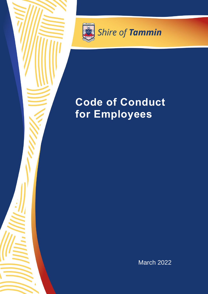

Shire of Tammin

# **Code of Conduct for Employees**

March 2022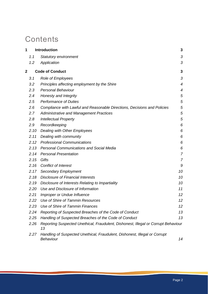# **Contents**

| 1 |      | <b>Introduction</b>                                                                      |                |
|---|------|------------------------------------------------------------------------------------------|----------------|
|   | 1.1  | <b>Statutory environment</b>                                                             | 3              |
|   | 1.2  | Application                                                                              | 3              |
| 2 |      | <b>Code of Conduct</b>                                                                   |                |
|   | 3.1  | <b>Role of Employees</b>                                                                 | 3              |
|   | 3.2  | Principles affecting employment by the Shire                                             | $\overline{4}$ |
|   | 2.3  | <b>Personal Behaviour</b>                                                                | 4              |
|   | 2.4  | Honesty and Integrity                                                                    | 5              |
|   | 2.5  | <b>Performance of Duties</b>                                                             | 5              |
|   | 2.6  | Compliance with Lawful and Reasonable Directions, Decisions and Policies                 | 5              |
|   | 2.7  | <b>Administrative and Management Practices</b>                                           | 5              |
|   | 2.8  | <b>Intellectual Property</b>                                                             | 5              |
|   | 2.9  | Recordkeeping                                                                            | 6              |
|   | 2.10 | Dealing with Other Employees                                                             | 6              |
|   | 2.11 | Dealing with community                                                                   | 6              |
|   | 2.12 | <b>Professional Communications</b>                                                       | 6              |
|   | 2.13 | <b>Personal Communications and Social Media</b>                                          | 6              |
|   | 2.14 | <b>Personal Presentation</b>                                                             | 7              |
|   | 2.15 | Gifts                                                                                    | $\overline{7}$ |
|   | 2.16 | <b>Conflict of Interest</b>                                                              | 9              |
|   | 2.17 | <b>Secondary Employment</b>                                                              | 10             |
|   | 2.18 | <b>Disclosure of Financial Interests</b>                                                 | 10             |
|   | 2.19 | Disclosure of Interests Relating to Impartiality                                         | 10             |
|   | 2.20 | Use and Disclosure of Information                                                        | 11             |
|   | 2.21 | Improper or Undue Influence                                                              | 12             |
|   | 2.22 | Use of Shire of Tammin Resources                                                         | 12             |
|   | 2.23 | Use of Shire of Tammin Finances                                                          | 12             |
|   | 2.24 | Reporting of Suspected Breaches of the Code of Conduct                                   | 13             |
|   | 2.25 | Handling of Suspected Breaches of the Code of Conduct                                    | 13             |
|   | 2.26 | Reporting Suspected Unethical, Fraudulent, Dishonest, Illegal or Corrupt Behaviour<br>13 |                |
|   | 2.27 | Handling of Suspected Unethical, Fraudulent, Dishonest, Illegal or Corrupt<br>Behaviour  | 14             |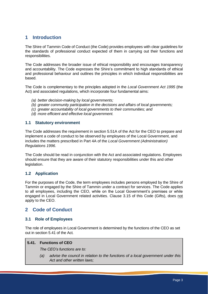# <span id="page-2-0"></span>**1 Introduction**

The Shire of Tammin Code of Conduct (the Code) provides employees with clear guidelines for the standards of professional conduct expected of them in carrying out their functions and responsibilities.

The Code addresses the broader issue of ethical responsibility and encourages transparency and accountability. The Code expresses the Shire's commitment to high standards of ethical and professional behaviour and outlines the principles in which individual responsibilities are based.

The Code is complementary to the principles adopted in the *Local Government Act 1995* (the Act) and associated regulations, which incorporate four fundamental aims:

- *(a) better decision-making by local governments;*
- *(b) greater community participation in the decisions and affairs of local governments;*
- *(c) greater accountability of local governments to their communities; and*
- *(d) more efficient and effective local government.*

# <span id="page-2-1"></span>**1.1 Statutory environment**

The Code addresses the requirement in section 5.51A of the Act for the CEO to prepare and implement a code of conduct to be observed by employees of the Local Government, and includes the matters prescribed in Part 4A of the *Local Government (Administration) Regulations 1996*.

The Code should be read in conjunction with the Act and associated regulations. Employees should ensure that they are aware of their statutory responsibilities under this and other legislation.

# <span id="page-2-2"></span>**1.2 Application**

For the purposes of the Code, the term employees includes persons employed by the Shire of Tammin or engaged by the Shire of Tammin under a contract for services. The Code applies to all employees, including the CEO, while on the Local Government's premises or while engaged in Local Government related activities. Clause 3.15 of this Code (Gifts), does not apply to the CEO.

# <span id="page-2-3"></span>**2 Code of Conduct**

# <span id="page-2-4"></span>**3.1 Role of Employees**

The role of employees in Local Government is determined by the functions of the CEO as set out in section 5.41 of the Act*.*

#### **5.41. Functions of CEO**

*The CEO's functions are to:*

*(a) advise the council in relation to the functions of a local government under this Act and other written laws;*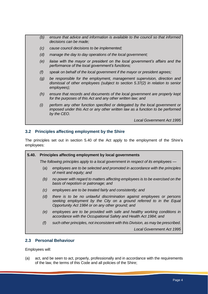- *(b) ensure that advice and information is available to the council so that informed decisions can be made;*
- *(c) cause council decisions to be implemented;*
- *(d) manage the day to day operations of the local government;*
- *(e) liaise with the mayor or president on the local government's affairs and the performance of the local government's functions;*
- *(f) speak on behalf of the local government if the mayor or president agrees;*
- *(g) be responsible for the employment, management supervision, direction and dismissal of other employees (subject to section 5.37(2) in relation to senior employees);*
- *(h) ensure that records and documents of the local government are properly kept for the purposes of this Act and any other written law; and*
- *(i) perform any other function specified or delegated by the local government or imposed under this Act or any other written law as a function to be performed by the CEO.*

*Local Government Act 1995*

# <span id="page-3-0"></span>**3.2 Principles affecting employment by the Shire**

The principles set out in section 5.40 of the Act apply to the employment of the Shire's employees:

| 5.40. | Principles affecting employment by local governments                               |                                                                                                                                                                                                   |  |
|-------|------------------------------------------------------------------------------------|---------------------------------------------------------------------------------------------------------------------------------------------------------------------------------------------------|--|
|       | The following principles apply to a local government in respect of its employees — |                                                                                                                                                                                                   |  |
|       | (a)                                                                                | employees are to be selected and promoted in accordance with the principles<br>of merit and equity; and                                                                                           |  |
|       | (b)                                                                                | no power with regard to matters affecting employees is to be exercised on the<br>basis of nepotism or patronage; and                                                                              |  |
|       | (c)                                                                                | employees are to be treated fairly and consistently; and                                                                                                                                          |  |
|       | (d)                                                                                | there is to be no unlawful discrimination against employees or persons<br>seeking employment by the City on a ground referred to in the Equal<br>Opportunity Act 1984 or on any other ground; and |  |
|       | (e)                                                                                | employees are to be provided with safe and healthy working conditions in<br>accordance with the Occupational Safety and Health Act 1984; and                                                      |  |
|       | (f)                                                                                | such other principles, not inconsistent with this Division, as may be prescribed.                                                                                                                 |  |
|       |                                                                                    | Local Government Act 1995                                                                                                                                                                         |  |

#### <span id="page-3-1"></span>**2.3 Personal Behaviour**

Employees will:

(a) act, and be seen to act, properly, professionally and in accordance with the requirements of the law, the terms of this Code and all policies of the Shire;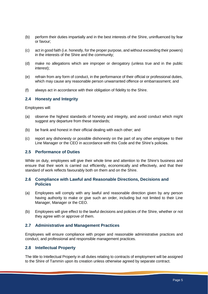- (b) perform their duties impartially and in the best interests of the Shire, uninfluenced by fear or favour;
- (c) act in good faith (i.e. honestly, for the proper purpose, and without exceeding their powers) in the interests of the Shire and the community;
- (d) make no allegations which are improper or derogatory (unless true and in the public interest);
- (e) refrain from any form of conduct, in the performance of their official or professional duties, which may cause any reasonable person unwarranted offence or embarrassment; and
- (f) always act in accordance with their obligation of fidelity to the Shire.

#### <span id="page-4-0"></span>**2.4 Honesty and Integrity**

Employees will:

- (a) observe the highest standards of honesty and integrity, and avoid conduct which might suggest any departure from these standards;
- (b) be frank and honest in their official dealing with each other; and
- (c) report any dishonesty or possible dishonesty on the part of any other employee to their Line Manager or the CEO in accordance with this Code and the Shire's policies.

#### <span id="page-4-1"></span>**2.5 Performance of Duties**

While on duty, employees will give their whole time and attention to the Shire's business and ensure that their work is carried out efficiently, economically and effectively, and that their standard of work reflects favourably both on them and on the Shire.

#### <span id="page-4-2"></span>**2.6 Compliance with Lawful and Reasonable Directions, Decisions and Policies**

- (a) Employees will comply with any lawful and reasonable direction given by any person having authority to make or give such an order, including but not limited to their Line Manager, Manager or the CEO.
- (b) Employees will give effect to the lawful decisions and policies of the Shire, whether or not they agree with or approve of them.

# <span id="page-4-3"></span>**2.7 Administrative and Management Practices**

Employees will ensure compliance with proper and reasonable administrative practices and conduct, and professional and responsible management practices.

#### <span id="page-4-4"></span>**2.8 Intellectual Property**

The title to Intellectual Property in all duties relating to contracts of employment will be assigned to the Shire of Tammin upon its creation unless otherwise agreed by separate contract.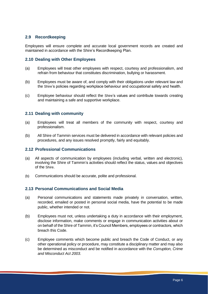# <span id="page-5-0"></span>**2.9 Recordkeeping**

Employees will ensure complete and accurate local government records are created and maintained in accordance with the Shire's Recordkeeping Plan.

# <span id="page-5-1"></span>**2.10 Dealing with Other Employees**

- (a) Employees will treat other employees with respect, courtesy and professionalism, and refrain from behaviour that constitutes discrimination, bullying or harassment.
- (b) Employees must be aware of, and comply with their obligations under relevant law and the Shire's policies regarding workplace behaviour and occupational safety and health.
- (c) Employee behaviour should reflect the Shire's values and contribute towards creating and maintaining a safe and supportive workplace.

# <span id="page-5-2"></span>**2.11 Dealing with community**

- (a) Employees will treat all members of the community with respect, courtesy and professionalism.
- (b) All Shire of Tammin services must be delivered in accordance with relevant policies and procedures, and any issues resolved promptly, fairly and equitably.

#### <span id="page-5-3"></span>**2.12 Professional Communications**

- (a) All aspects of communication by employees (including verbal, written and electronic), involving the Shire of Tammin's activities should reflect the status, values and objectives of the Shire.
- (b) Communications should be accurate, polite and professional.

#### <span id="page-5-4"></span>**2.13 Personal Communications and Social Media**

- (a) Personal communications and statements made privately in conversation, written, recorded, emailed or posted in personal social media, have the potential to be made public, whether intended or not.
- (b) Employees must not, unless undertaking a duty in accordance with their employment, disclose information, make comments or engage in communication activities about or on behalf of the Shire of Tammin, it's Council Members, employees or contractors, which breach this Code.
- (c) Employee comments which become public and breach the Code of Conduct, or any other operational policy or procedure, may constitute a disciplinary matter and may also be determined as misconduct and be notified in accordance with the *Corruption, Crime and Misconduct Act 2003*.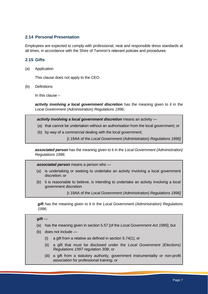# <span id="page-6-0"></span>**2.14 Personal Presentation**

Employees are expected to comply with professional, neat and responsible dress standards at all times, in accordance with the Shire of Tammin's relevant policies and procedures.

# <span id="page-6-1"></span>**2.15 Gifts**

(a) Application

This clause does not apply to the CEO.

(b) Definitions

In this clause –

*activity involving a local government discretion* has the meaning given to it in the *Local Government (Administration) Regulations 1996;*

*activity involving a local government discretion* means an activity —

- (a) that cannot be undertaken without an authorisation from the local government; or
- (b) by way of a commercial dealing with the local government;

[r.19AA of the *Local Government (Administration) Regulations 1996]*

*associated person* has the meaning given to it in the *Local Government (Administration) Regulations 1996*;

*associated person* means a person who —

- (a) is undertaking or seeking to undertake an activity involving a local government discretion; or
- (b) it is reasonable to believe, is intending to undertake an activity involving a local government discretion

[r.19AA of the *Local Government (Administration) Regulations 1996]*

*gift* has the meaning given to it in the *Local Government (Administration) Regulations 1996;*

#### *gift* —

- (a) has the meaning given in section 5.57 [of the *Local Government Act 1995*]; but
- (b) does not include
	- (i) a gift from a relative as defined in section 5.74(1); or
	- (ii) a gift that must be disclosed under the *Local Government (Elections) Regulations 1997* regulation 30B; or
	- (iii) a gift from a statutory authority, government instrumentality or non-profit association for professional training; or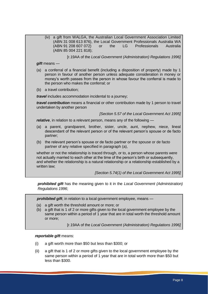(iv) a gift from WALGA, the Australian Local Government Association Limited (ABN 31 008 613 876), the Local Government Professionals Australia WA (ABN 91 208 607 072) or the LG Professionals Australia (ABN 85 004 221 818); [r.19AA of the *Local Government (Administration) Regulations 1996] gift* means — (a) a conferral of a financial benefit (including a disposition of property) made by 1 person in favour of another person unless adequate consideration in money or money's worth passes from the person in whose favour the conferral is made to the person who makes the conferral; or (b) a travel contribution; *travel* includes accommodation incidental to a journey; *travel contribution* means a financial or other contribution made by 1 person to travel undertaken by another person *[Section 5.57 of the Local Government Act 1995] relative*, in relation to a relevant person, means any of the following — (a) a parent, grandparent, brother, sister, uncle, aunt, nephew, niece, lineal descendant of the relevant person or of the relevant person's spouse or de facto partner; (b) the relevant person's spouse or de facto partner or the spouse or de facto partner of any relative specified in paragraph (a), whether or not the relationship is traced through, or to, a person whose parents were not actually married to each other at the time of the person's birth or subsequently, and whether the relationship is a natural relationship or a relationship established by a written law: *[Section 5.74(1) of the Local Government Act 1995]*

*prohibited gift* has the meaning given to it in the *Local Government (Administration) Regulations 1996*;

*prohibited gift*, in relation to a local government employee, means —

- (a) a gift worth the threshold amount or more; or
- (b) a gift that is 1 of 2 or more gifts given to the local government employee by the same person within a period of 1 year that are in total worth the threshold amount or more;

[r.19AA of the *Local Government (Administration) Regulations 1996]*

#### *reportable gift* means:

- (i) a gift worth more than \$50 but less than \$300; or
- (ii) a gift that is 1 of 2 or more gifts given to the local government employee by the same person within a period of 1 year that are in total worth more than \$50 but less than \$300.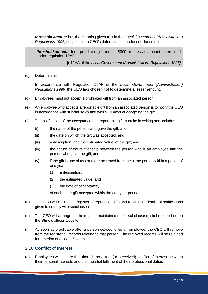*threshold amount* has the meaning given to it in the *Local Government (Administration) Regulations 1996,* subject to the CEO's determination under subclause (c);

*threshold amount*, for a prohibited gift, means \$300 or a lesser amount determined under regulation 19AF.

[r.19AA of the *Local Government (Administration) Regulations 1996]*

(c) Determination

In accordance with Regulation 19AF of the *Local Government (Administration) Regulations 1996,* the CEO has chosen not to determine a lesser amount.

- (d) Employees must not accept a prohibited gift from an associated person.
- (e) An employee who accepts a reportable gift from an associated person is to notify the CEO in accordance with subclause (f) and within 10 days of accepting the gift.
- (f) The notification of the acceptance of a reportable gift must be in writing and include:
	- (i) the name of the person who gave the gift; and
	- (ii) the date on which the gift was accepted; and
	- (iii) a description, and the estimated value, of the gift; and
	- (iv) the nature of the relationship between the person who is an employee and the person who gave the gift; and
	- (v) if the gift is one of two or more accepted from the same person within a period of one year:
		- (1) a description;
		- (2) the estimated value; and
		- (3) the date of acceptance,

of each other gift accepted within the one year period.

- (g) The CEO will maintain a register of reportable gifts and record in it details of notifications given to comply with subclause (f).
- (h) The CEO will arrange for the register maintained under subclause (g) to be published on the Shire's official website.
- (i) As soon as practicable after a person ceases to be an employee, the CEO will remove from the register all records relating to that person. The removed records will be retained for a period of at least 5 years.

#### <span id="page-8-0"></span>**2.16 Conflict of Interest**

(a) Employees will ensure that there is no actual (or perceived) conflict of interest between their personal interests and the impartial fulfilment of their professional duties.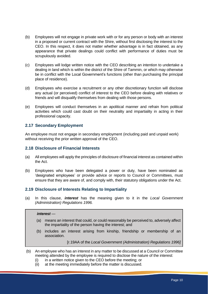- (b) Employees will not engage in private work with or for any person or body with an interest in a proposed or current contract with the Shire, without first disclosing the interest to the CEO. In this respect, it does not matter whether advantage is in fact obtained, as any appearance that private dealings could conflict with performance of duties must be scrupulously avoided.
- (c) Employees will lodge written notice with the CEO describing an intention to undertake a dealing in land which is within the district of the Shire of Tammin, or which may otherwise be in conflict with the Local Government's functions (other than purchasing the principal place of residence).
- (d) Employees who exercise a recruitment or any other discretionary function will disclose any actual (or perceived) conflict of interest to the CEO before dealing with relatives or friends and will disqualify themselves from dealing with those persons.
- (e) Employees will conduct themselves in an apolitical manner and refrain from political activities which could cast doubt on their neutrality and impartiality in acting in their professional capacity.

# <span id="page-9-0"></span>**2.17 Secondary Employment**

An employee must not engage in secondary employment (including paid and unpaid work) without receiving the prior written approval of the CEO.

# <span id="page-9-1"></span>**2.18 Disclosure of Financial Interests**

- (a) All employees will apply the principles of disclosure of financial interest as contained within the Act.
- (b) Employees who have been delegated a power or duty, have been nominated as 'designated employees' or provide advice or reports to Council or Committees, must ensure that they are aware of, and comply with, their statutory obligations under the Act.

# <span id="page-9-2"></span>**2.19 Disclosure of Interests Relating to Impartiality**

(a) In this clause, *interest* has the meaning given to it in the *Local Government (Administration) Regulations 1996.*

#### *interest* —

- (a) means an interest that could, or could reasonably be perceived to, adversely affect the impartiality of the person having the interest; and
- (b) includes an interest arising from kinship, friendship or membership of an association.

[r.19AA of the *Local Government (Administration) Regulations 1996]*

- (b) An employee who has an interest in any matter to be discussed at a Council or Committee meeting attended by the employee is required to disclose the nature of the interest:
	- (i) in a written notice given to the CEO before the meeting; or
	- (ii) at the meeting immediately before the matter is discussed.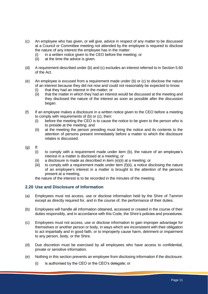- (c) An employee who has given, or will give, advice in respect of any matter to be discussed at a Council or Committee meeting not attended by the employee is required to disclose the nature of any interest the employee has in the matter:
	- (i) in a written notice given to the CEO before the meeting; or
	- (ii) at the time the advice is given.
- (d) A requirement described under (b) and (c) excludes an interest referred to in Section 5.60 of the Act.
- (e) An employee is excused from a requirement made under (b) or (c) to disclose the nature of an interest because they did not now and could not reasonably be expected to know:
	- (i) that they had an interest in the matter; or
	- (ii) that the matter in which they had an interest would be discussed at the meeting and they disclosed the nature of the interest as soon as possible after the discussion began.
- (f) If an employee makes a disclosure in a written notice given to the CEO before a meeting to comply with requirements of (b) or (c), then:
	- (i) before the meeting the CEO is to cause the notice to be given to the person who is to preside at the meeting; and
	- (ii) at the meeting the person presiding must bring the notice and its contents to the attention of persons present immediately before a matter to which the disclosure relates is discussed.
- (g) If:
	- (i) to comply with a requirement made under item (b), the nature of an employee's interest in a matter is disclosed at a meeting; or
	- (ii) a disclosure is made as described in item (e)(ii) at a meeting; or
	- (iii) to comply with a requirement made under item (f)(ii), a notice disclosing the nature of an employee's interest in a matter is brought to the attention of the persons present at a meeting,

the nature of the interest is to be recorded in the minutes of the meeting.

# <span id="page-10-0"></span>**2.20 Use and Disclosure of Information**

- (a) Employees must not access, use or disclose information held by the Shire of Tammin except as directly required for, and in the course of, the performance of their duties.
- (b) Employees will handle all information obtained, accessed or created in the course of their duties responsibly, and in accordance with this Code, the Shire's policies and procedures.
- (c) Employees must not access, use or disclose information to gain improper advantage for themselves or another person or body, in ways which are inconsistent with their obligation to act impartially and in good faith, or to improperly cause harm, detriment or impairment to any person, body, or the Shire.
- (d) Due discretion must be exercised by all employees who have access to confidential, private or sensitive information.
- (e) Nothing in this section prevents an employee from disclosing information if the disclosure:
	- (i) is authorised by the CEO or the CEO's delegate; or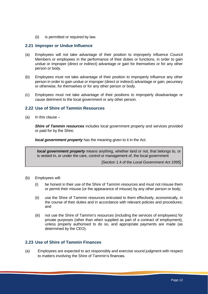(ii) is permitted or required by law.

### <span id="page-11-0"></span>**2.21 Improper or Undue Influence**

- (a) Employees will not take advantage of their position to improperly influence Council Members or employees in the performance of their duties or functions, in order to gain undue or improper (direct or indirect) advantage or gain for themselves or for any other person or body.
- (b) Employees must not take advantage of their position to improperly influence any other person in order to gain undue or improper (direct or indirect) advantage or gain, pecuniary or otherwise, for themselves or for any other person or body.
- (c) Employees must not take advantage of their positions to improperly disadvantage or cause detriment to the local government or any other person.

# <span id="page-11-1"></span>**2.22 Use of Shire of Tammin Resources**

(a) In this clause  $-$ 

*Shire of Tammin resources* includes local government property and services provided or paid for by the Shire;

*local government property* has the meaning given to it in the Act.

*local government property* means anything, whether land or not, that belongs to, or is vested in, or under the care, control or management of, the local government

[Section 1.4 of the *Local Government Act 1995*]

- (b) Employees will:
	- (i) be honest in their use of the Shire of Tammin resources and must not misuse them or permit their misuse (or the appearance of misuse) by any other person or body;
	- (ii) use the Shire of Tammin resources entrusted to them effectively, economically, in the course of their duties and in accordance with relevant policies and procedures; and
	- (iii) not use the Shire of Tammin's resources (including the services of employees) for private purposes (other than when supplied as part of a contract of employment), unless properly authorised to do so, and appropriate payments are made (as determined by the CEO).

# <span id="page-11-2"></span>**2.23 Use of Shire of Tammin Finances**

(a) Employees are expected to act responsibly and exercise sound judgment with respect to matters involving the Shire of Tammin's finances.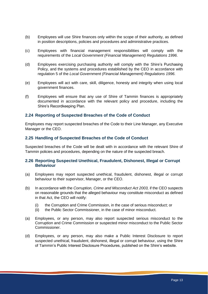- (b) Employees will use Shire finances only within the scope of their authority, as defined in position descriptions, policies and procedures and administrative practices.
- (c) Employees with financial management responsibilities will comply with the requirements of the *Local Government (Financial Management) Regulations 1996*.
- (d) Employees exercising purchasing authority will comply with the Shire's Purchasing Policy, and the systems and procedures established by the CEO in accordance with regulation 5 of the *Local Government (Financial Management) Regulations 1996.*
- (e) Employees will act with care, skill, diligence, honesty and integrity when using local government finances.
- (f) Employees will ensure that any use of Shire of Tammin finances is appropriately documented in accordance with the relevant policy and procedure, including the Shire's Recordkeeping Plan.

#### <span id="page-12-0"></span>**2.24 Reporting of Suspected Breaches of the Code of Conduct**

Employees may report suspected breaches of the Code to their Line Manager, any Executive Manager or the CEO.

#### <span id="page-12-1"></span>**2.25 Handling of Suspected Breaches of the Code of Conduct**

Suspected breaches of the Code will be dealt with in accordance with the relevant Shire of Tammin policies and procedures, depending on the nature of the suspected breach.

#### <span id="page-12-2"></span>**2.26 Reporting Suspected Unethical, Fraudulent, Dishonest, Illegal or Corrupt Behaviour**

- (a) Employees may report suspected unethical, fraudulent, dishonest, illegal or corrupt behaviour to their supervisor, Manager, or the CEO.
- (b) In accordance with the *Corruption, Crime and Misconduct Act 2003,* if the CEO suspects on reasonable grounds that the alleged behaviour may constitute misconduct as defined in that Act, the CEO will notify:
	- (i) the Corruption and Crime Commission, in the case of serious misconduct; or
	- (ii) the Public Sector Commissioner, in the case of minor misconduct.
- (a) Employees, or any person, may also report suspected serious misconduct to the Corruption and Crime Commission or suspected minor misconduct to the Public Sector Commissioner.
- (d) Employees, or any person, may also make a Public Interest Disclosure to report suspected unethical, fraudulent, dishonest, illegal or corrupt behaviour, using the Shire of Tammin's Public Interest Disclosure Procedures, published on the Shire's website.